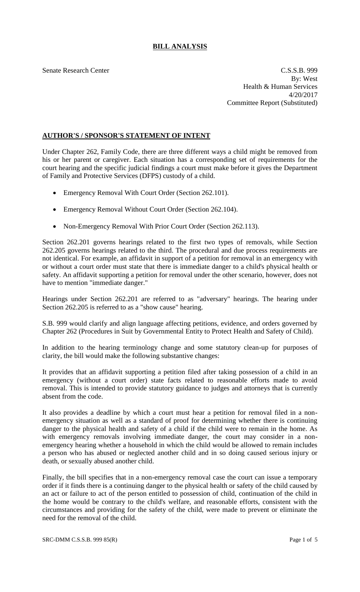# **BILL ANALYSIS**

Senate Research Center Cassacher C.S.S.B. 999 By: West Health & Human Services 4/20/2017 Committee Report (Substituted)

## **AUTHOR'S / SPONSOR'S STATEMENT OF INTENT**

Under Chapter 262, Family Code, there are three different ways a child might be removed from his or her parent or caregiver. Each situation has a corresponding set of requirements for the court hearing and the specific judicial findings a court must make before it gives the Department of Family and Protective Services (DFPS) custody of a child.

- Emergency Removal With Court Order (Section 262.101).
- Emergency Removal Without Court Order (Section 262.104).
- Non-Emergency Removal With Prior Court Order (Section 262.113).

Section 262.201 governs hearings related to the first two types of removals, while Section 262.205 governs hearings related to the third. The procedural and due process requirements are not identical. For example, an affidavit in support of a petition for removal in an emergency with or without a court order must state that there is immediate danger to a child's physical health or safety. An affidavit supporting a petition for removal under the other scenario, however, does not have to mention "immediate danger."

Hearings under Section 262.201 are referred to as "adversary" hearings. The hearing under Section 262.205 is referred to as a "show cause" hearing.

S.B. 999 would clarify and align language affecting petitions, evidence, and orders governed by Chapter 262 (Procedures in Suit by Governmental Entity to Protect Health and Safety of Child).

In addition to the hearing terminology change and some statutory clean-up for purposes of clarity, the bill would make the following substantive changes:

It provides that an affidavit supporting a petition filed after taking possession of a child in an emergency (without a court order) state facts related to reasonable efforts made to avoid removal. This is intended to provide statutory guidance to judges and attorneys that is currently absent from the code.

It also provides a deadline by which a court must hear a petition for removal filed in a nonemergency situation as well as a standard of proof for determining whether there is continuing danger to the physical health and safety of a child if the child were to remain in the home. As with emergency removals involving immediate danger, the court may consider in a nonemergency hearing whether a household in which the child would be allowed to remain includes a person who has abused or neglected another child and in so doing caused serious injury or death, or sexually abused another child.

Finally, the bill specifies that in a non-emergency removal case the court can issue a temporary order if it finds there is a continuing danger to the physical health or safety of the child caused by an act or failure to act of the person entitled to possession of child, continuation of the child in the home would be contrary to the child's welfare, and reasonable efforts, consistent with the circumstances and providing for the safety of the child, were made to prevent or eliminate the need for the removal of the child.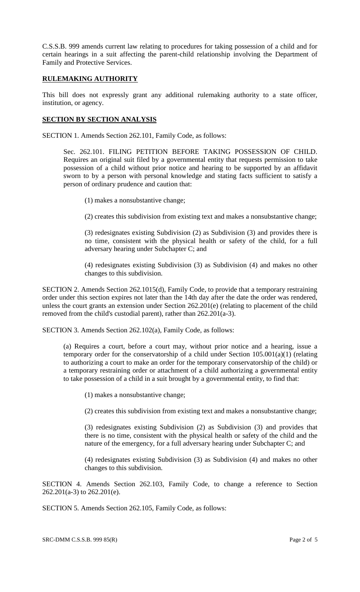C.S.S.B. 999 amends current law relating to procedures for taking possession of a child and for certain hearings in a suit affecting the parent-child relationship involving the Department of Family and Protective Services.

### **RULEMAKING AUTHORITY**

This bill does not expressly grant any additional rulemaking authority to a state officer, institution, or agency.

## **SECTION BY SECTION ANALYSIS**

SECTION 1. Amends Section 262.101, Family Code, as follows:

Sec. 262.101. FILING PETITION BEFORE TAKING POSSESSION OF CHILD. Requires an original suit filed by a governmental entity that requests permission to take possession of a child without prior notice and hearing to be supported by an affidavit sworn to by a person with personal knowledge and stating facts sufficient to satisfy a person of ordinary prudence and caution that:

(1) makes a nonsubstantive change;

(2) creates this subdivision from existing text and makes a nonsubstantive change;

(3) redesignates existing Subdivision (2) as Subdivision (3) and provides there is no time, consistent with the physical health or safety of the child, for a full adversary hearing under Subchapter C; and

(4) redesignates existing Subdivision (3) as Subdivision (4) and makes no other changes to this subdivision.

SECTION 2. Amends Section 262.1015(d), Family Code, to provide that a temporary restraining order under this section expires not later than the 14th day after the date the order was rendered, unless the court grants an extension under Section 262.201(e) (relating to placement of the child removed from the child's custodial parent), rather than 262.201(a-3).

SECTION 3. Amends Section 262.102(a), Family Code, as follows:

(a) Requires a court, before a court may, without prior notice and a hearing, issue a temporary order for the conservatorship of a child under Section 105.001(a)(1) (relating to authorizing a court to make an order for the temporary conservatorship of the child) or a temporary restraining order or attachment of a child authorizing a governmental entity to take possession of a child in a suit brought by a governmental entity, to find that:

(1) makes a nonsubstantive change;

(2) creates this subdivision from existing text and makes a nonsubstantive change;

(3) redesignates existing Subdivision (2) as Subdivision (3) and provides that there is no time, consistent with the physical health or safety of the child and the nature of the emergency, for a full adversary hearing under Subchapter C; and

(4) redesignates existing Subdivision (3) as Subdivision (4) and makes no other changes to this subdivision.

SECTION 4. Amends Section 262.103, Family Code, to change a reference to Section 262.201(a-3) to 262.201(e).

SECTION 5. Amends Section 262.105, Family Code, as follows: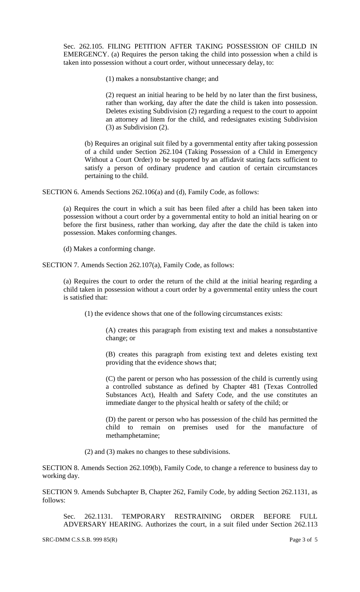Sec. 262.105. FILING PETITION AFTER TAKING POSSESSION OF CHILD IN EMERGENCY. (a) Requires the person taking the child into possession when a child is taken into possession without a court order, without unnecessary delay, to:

(1) makes a nonsubstantive change; and

(2) request an initial hearing to be held by no later than the first business, rather than working, day after the date the child is taken into possession. Deletes existing Subdivision (2) regarding a request to the court to appoint an attorney ad litem for the child, and redesignates existing Subdivision (3) as Subdivision (2).

(b) Requires an original suit filed by a governmental entity after taking possession of a child under Section 262.104 (Taking Possession of a Child in Emergency Without a Court Order) to be supported by an affidavit stating facts sufficient to satisfy a person of ordinary prudence and caution of certain circumstances pertaining to the child.

SECTION 6. Amends Sections 262.106(a) and (d), Family Code, as follows:

(a) Requires the court in which a suit has been filed after a child has been taken into possession without a court order by a governmental entity to hold an initial hearing on or before the first business, rather than working, day after the date the child is taken into possession. Makes conforming changes.

(d) Makes a conforming change.

SECTION 7. Amends Section 262.107(a), Family Code, as follows:

(a) Requires the court to order the return of the child at the initial hearing regarding a child taken in possession without a court order by a governmental entity unless the court is satisfied that:

(1) the evidence shows that one of the following circumstances exists:

(A) creates this paragraph from existing text and makes a nonsubstantive change; or

(B) creates this paragraph from existing text and deletes existing text providing that the evidence shows that;

(C) the parent or person who has possession of the child is currently using a controlled substance as defined by Chapter 481 (Texas Controlled Substances Act), Health and Safety Code, and the use constitutes an immediate danger to the physical health or safety of the child; or

(D) the parent or person who has possession of the child has permitted the child to remain on premises used for the manufacture of methamphetamine;

(2) and (3) makes no changes to these subdivisions.

SECTION 8. Amends Section 262.109(b), Family Code, to change a reference to business day to working day.

SECTION 9. Amends Subchapter B, Chapter 262, Family Code, by adding Section 262.1131, as follows:

Sec. 262.1131. TEMPORARY RESTRAINING ORDER BEFORE FULL ADVERSARY HEARING. Authorizes the court, in a suit filed under Section 262.113

SRC-DMM C.S.S.B. 999 85(R) Page 3 of 5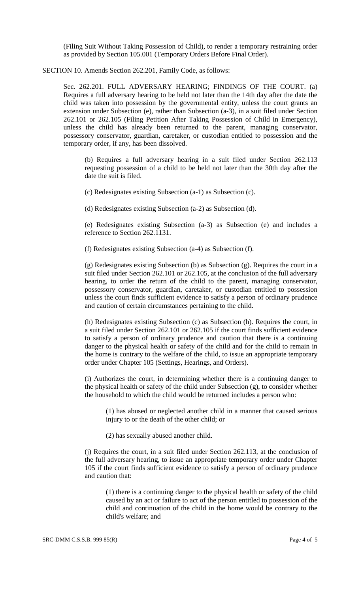(Filing Suit Without Taking Possession of Child), to render a temporary restraining order as provided by Section 105.001 (Temporary Orders Before Final Order).

#### SECTION 10. Amends Section 262.201, Family Code, as follows:

Sec. 262.201. FULL ADVERSARY HEARING; FINDINGS OF THE COURT. (a) Requires a full adversary hearing to be held not later than the 14th day after the date the child was taken into possession by the governmental entity, unless the court grants an extension under Subsection (e), rather than Subsection (a-3), in a suit filed under Section 262.101 or 262.105 (Filing Petition After Taking Possession of Child in Emergency), unless the child has already been returned to the parent, managing conservator, possessory conservator, guardian, caretaker, or custodian entitled to possession and the temporary order, if any, has been dissolved.

(b) Requires a full adversary hearing in a suit filed under Section 262.113 requesting possession of a child to be held not later than the 30th day after the date the suit is filed.

(c) Redesignates existing Subsection (a-1) as Subsection (c).

(d) Redesignates existing Subsection (a-2) as Subsection (d).

(e) Redesignates existing Subsection (a-3) as Subsection (e) and includes a reference to Section 262.1131.

(f) Redesignates existing Subsection (a-4) as Subsection (f).

(g) Redesignates existing Subsection (b) as Subsection (g). Requires the court in a suit filed under Section 262.101 or 262.105, at the conclusion of the full adversary hearing, to order the return of the child to the parent, managing conservator, possessory conservator, guardian, caretaker, or custodian entitled to possession unless the court finds sufficient evidence to satisfy a person of ordinary prudence and caution of certain circumstances pertaining to the child.

(h) Redesignates existing Subsection (c) as Subsection (h). Requires the court, in a suit filed under Section 262.101 or 262.105 if the court finds sufficient evidence to satisfy a person of ordinary prudence and caution that there is a continuing danger to the physical health or safety of the child and for the child to remain in the home is contrary to the welfare of the child, to issue an appropriate temporary order under Chapter 105 (Settings, Hearings, and Orders).

(i) Authorizes the court, in determining whether there is a continuing danger to the physical health or safety of the child under Subsection (g), to consider whether the household to which the child would be returned includes a person who:

(1) has abused or neglected another child in a manner that caused serious injury to or the death of the other child; or

(2) has sexually abused another child.

(j) Requires the court, in a suit filed under Section 262.113, at the conclusion of the full adversary hearing, to issue an appropriate temporary order under Chapter 105 if the court finds sufficient evidence to satisfy a person of ordinary prudence and caution that:

(1) there is a continuing danger to the physical health or safety of the child caused by an act or failure to act of the person entitled to possession of the child and continuation of the child in the home would be contrary to the child's welfare; and